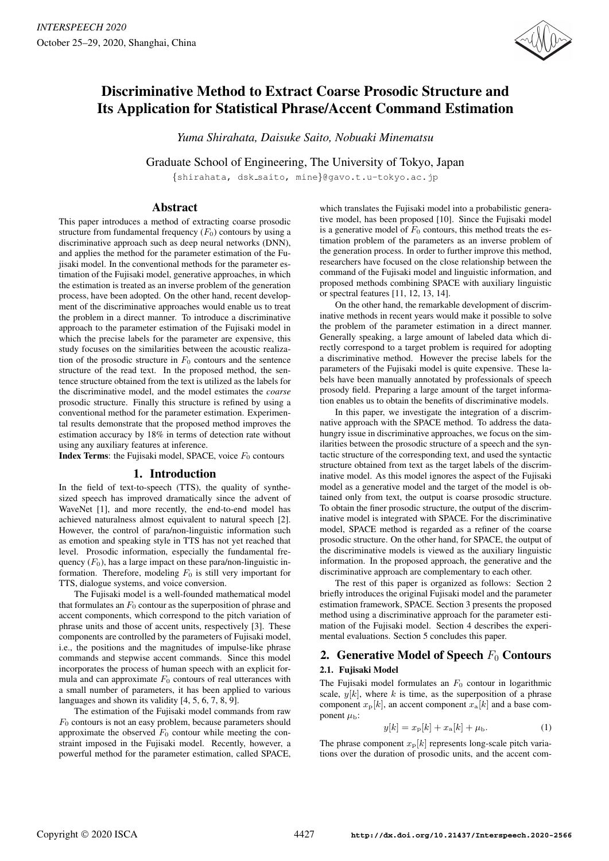

# Discriminative Method to Extract Coarse Prosodic Structure and Its Application for Statistical Phrase/Accent Command Estimation

*Yuma Shirahata, Daisuke Saito, Nobuaki Minematsu*

Graduate School of Engineering, The University of Tokyo, Japan

{shirahata, dsk saito, mine}@gavo.t.u-tokyo.ac.jp

# Abstract

This paper introduces a method of extracting coarse prosodic structure from fundamental frequency  $(F_0)$  contours by using a discriminative approach such as deep neural networks (DNN), and applies the method for the parameter estimation of the Fujisaki model. In the conventional methods for the parameter estimation of the Fujisaki model, generative approaches, in which the estimation is treated as an inverse problem of the generation process, have been adopted. On the other hand, recent development of the discriminative approaches would enable us to treat the problem in a direct manner. To introduce a discriminative approach to the parameter estimation of the Fujisaki model in which the precise labels for the parameter are expensive, this study focuses on the similarities between the acoustic realization of the prosodic structure in  $F_0$  contours and the sentence structure of the read text. In the proposed method, the sentence structure obtained from the text is utilized as the labels for the discriminative model, and the model estimates the *coarse* prosodic structure. Finally this structure is refined by using a conventional method for the parameter estimation. Experimental results demonstrate that the proposed method improves the estimation accuracy by 18% in terms of detection rate without using any auxiliary features at inference.

**Index Terms:** the Fujisaki model, SPACE, voice  $F_0$  contours

# 1. Introduction

In the field of text-to-speech (TTS), the quality of synthesized speech has improved dramatically since the advent of WaveNet [1], and more recently, the end-to-end model has achieved naturalness almost equivalent to natural speech [2]. However, the control of para/non-linguistic information such as emotion and speaking style in TTS has not yet reached that level. Prosodic information, especially the fundamental frequency  $(F_0)$ , has a large impact on these para/non-linguistic information. Therefore, modeling  $F_0$  is still very important for TTS, dialogue systems, and voice conversion.

The Fujisaki model is a well-founded mathematical model that formulates an  $F_0$  contour as the superposition of phrase and accent components, which correspond to the pitch variation of phrase units and those of accent units, respectively [3]. These components are controlled by the parameters of Fujisaki model, i.e., the positions and the magnitudes of impulse-like phrase commands and stepwise accent commands. Since this model incorporates the process of human speech with an explicit formula and can approximate  $F_0$  contours of real utterances with a small number of parameters, it has been applied to various languages and shown its validity [4, 5, 6, 7, 8, 9].

The estimation of the Fujisaki model commands from raw  $F_0$  contours is not an easy problem, because parameters should approximate the observed  $F_0$  contour while meeting the constraint imposed in the Fujisaki model. Recently, however, a powerful method for the parameter estimation, called SPACE, which translates the Fujisaki model into a probabilistic generative model, has been proposed [10]. Since the Fujisaki model is a generative model of  $F_0$  contours, this method treats the estimation problem of the parameters as an inverse problem of the generation process. In order to further improve this method, researchers have focused on the close relationship between the command of the Fujisaki model and linguistic information, and proposed methods combining SPACE with auxiliary linguistic or spectral features [11, 12, 13, 14].

On the other hand, the remarkable development of discriminative methods in recent years would make it possible to solve the problem of the parameter estimation in a direct manner. Generally speaking, a large amount of labeled data which directly correspond to a target problem is required for adopting a discriminative method. However the precise labels for the parameters of the Fujisaki model is quite expensive. These labels have been manually annotated by professionals of speech prosody field. Preparing a large amount of the target information enables us to obtain the benefits of discriminative models.

In this paper, we investigate the integration of a discrimnative approach with the SPACE method. To address the datahungry issue in discriminative approaches, we focus on the similarities between the prosodic structure of a speech and the syntactic structure of the corresponding text, and used the syntactic structure obtained from text as the target labels of the discriminative model. As this model ignores the aspect of the Fujisaki model as a generative model and the target of the model is obtained only from text, the output is coarse prosodic structure. To obtain the finer prosodic structure, the output of the discriminative model is integrated with SPACE. For the discriminative model, SPACE method is regarded as a refiner of the coarse prosodic structure. On the other hand, for SPACE, the output of the discriminative models is viewed as the auxiliary linguistic information. In the proposed approach, the generative and the discriminative approach are complementary to each other.

The rest of this paper is organized as follows: Section 2 briefly introduces the original Fujisaki model and the parameter estimation framework, SPACE. Section 3 presents the proposed method using a discriminative approach for the parameter estimation of the Fujisaki model. Section 4 describes the experimental evaluations. Section 5 concludes this paper.

# 2. Generative Model of Speech  $F_0$  Contours 2.1. Fujisaki Model

The Fujisaki model formulates an  $F_0$  contour in logarithmic scale,  $y[k]$ , where k is time, as the superposition of a phrase component  $x_p[k]$ , an accent component  $x_a[k]$  and a base component  $\mu_{\rm b}$ :

$$
y[k] = x_{p}[k] + x_{a}[k] + \mu_{b}.
$$
 (1)

The phrase component  $x_{\text{p}}[k]$  represents long-scale pitch variations over the duration of prosodic units, and the accent com-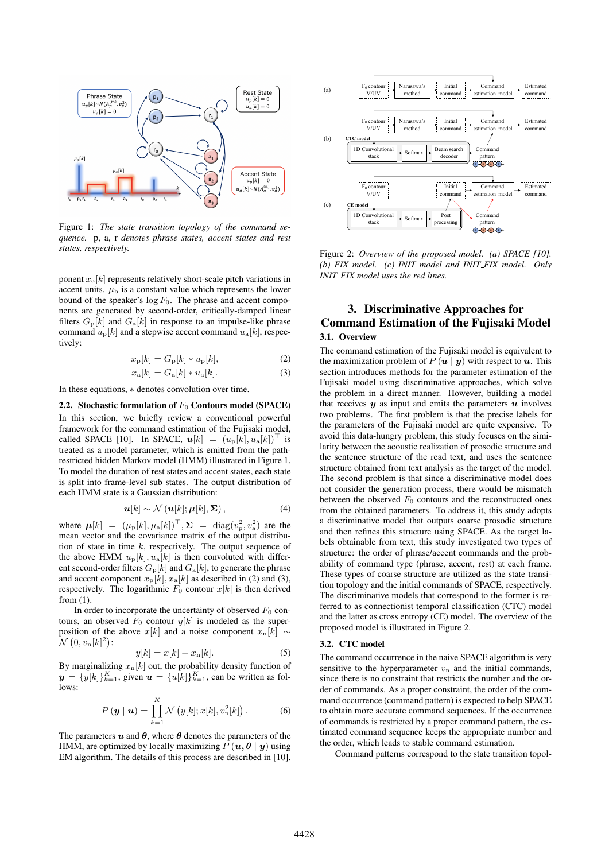

Figure 1: *The state transition topology of the command sequence.* p, a, r *denotes phrase states, accent states and rest states, respectively.*

ponent  $x_a[k]$  represents relatively short-scale pitch variations in accent units.  $\mu_{\rm b}$  is a constant value which represents the lower bound of the speaker's  $\log F_0$ . The phrase and accent components are generated by second-order, critically-damped linear filters  $G_{\rm p}[k]$  and  $G_{\rm a}[k]$  in response to an impulse-like phrase command  $u_p[k]$  and a stepwise accent command  $u_a[k]$ , respectively:

$$
x_{\rm p}[k] = G_{\rm p}[k] * u_{\rm p}[k],\tag{2}
$$

$$
x_{\mathbf{a}}[k] = G_{\mathbf{a}}[k] * u_{\mathbf{a}}[k].
$$
 (3)

In these equations, ∗ denotes convolution over time.

2.2. Stochastic formulation of  $F_0$  Contours model (SPACE) In this section, we briefly review a conventional powerful framework for the command estimation of the Fujisaki model, called SPACE [10]. In SPACE,  $u[k] = (u_{p}[k], u_{a}[k])^{\perp}$  is treated as a model parameter, which is emitted from the pathrestricted hidden Markov model (HMM) illustrated in Figure 1. To model the duration of rest states and accent states, each state is split into frame-level sub states. The output distribution of each HMM state is a Gaussian distribution:

$$
\boldsymbol{u}[k] \sim \mathcal{N}(\boldsymbol{u}[k]; \boldsymbol{\mu}[k], \boldsymbol{\Sigma}), \tag{4}
$$

where  $\boldsymbol{\mu}[k] = (\mu_{p}[k], \mu_{a}[k])^{\top}, \boldsymbol{\Sigma} = \text{diag}(v_p^2, v_a^2)$  are the mean vector and the covariance matrix of the output distribution of state in time  $k$ , respectively. The output sequence of the above HMM  $u_{\rm p}[k], u_{\rm a}[k]$  is then convoluted with different second-order filters  $G_{\rm p}[k]$  and  $G_{\rm a}[k]$ , to generate the phrase and accent component  $x_{\text{p}}[k], x_{\text{a}}[k]$  as described in (2) and (3), respectively. The logarithmic  $F_0$  contour  $x[k]$  is then derived from (1).

In order to incorporate the uncertainty of observed  $F_0$  contours, an observed  $F_0$  contour  $y[k]$  is modeled as the superposition of the above x[k] and a noise component  $x_n[k] \sim$  $\mathcal{N}\left(0,v_{\rm n}[k]^2\right)$  :

$$
y[k] = x[k] + x_n[k].\tag{5}
$$

By marginalizing  $x_n[k]$  out, the probability density function of  $y = \{y[k]\}_{k=1}^K$ , given  $u = \{u[k]\}_{k=1}^K$ , can be written as follows:

$$
P(\mathbf{y} \mid \mathbf{u}) = \prod_{k=1}^{K} \mathcal{N}\left(y[k]; x[k], v_n^2[k]\right). \tag{6}
$$

The parameters  $u$  and  $\theta$ , where  $\theta$  denotes the parameters of the HMM, are optimized by locally maximizing  $P(u, \theta | y)$  using EM algorithm. The details of this process are described in [10].



Figure 2: *Overview of the proposed model. (a) SPACE [10]. (b) FIX model. (c) INIT model and INIT FIX model. Only INIT FIX model uses the red lines.*

# 3. Discriminative Approaches for Command Estimation of the Fujisaki Model 3.1. Overview

The command estimation of the Fujisaki model is equivalent to the maximization problem of  $P(u | y)$  with respect to u. This section introduces methods for the parameter estimation of the Fujisaki model using discriminative approaches, which solve the problem in a direct manner. However, building a model that receives  $y$  as input and emits the parameters  $u$  involves two problems. The first problem is that the precise labels for the parameters of the Fujisaki model are quite expensive. To avoid this data-hungry problem, this study focuses on the similarity between the acoustic realization of prosodic structure and the sentence structure of the read text, and uses the sentence structure obtained from text analysis as the target of the model. The second problem is that since a discriminative model does not consider the generation process, there would be mismatch between the observed  $F_0$  contours and the reconstructed ones from the obtained parameters. To address it, this study adopts a discriminative model that outputs coarse prosodic structure and then refines this structure using SPACE. As the target labels obtainable from text, this study investigated two types of structure: the order of phrase/accent commands and the probability of command type (phrase, accent, rest) at each frame. These types of coarse structure are utilized as the state transition topology and the initial commands of SPACE, respectively. The discriminative models that correspond to the former is referred to as connectionist temporal classification (CTC) model and the latter as cross entropy (CE) model. The overview of the proposed model is illustrated in Figure 2.

### 3.2. CTC model

The command occurrence in the naive SPACE algorithm is very sensitive to the hyperparameter  $v_n$  and the initial commands, since there is no constraint that restricts the number and the order of commands. As a proper constraint, the order of the command occurrence (command pattern) is expected to help SPACE to obtain more accurate command sequences. If the occurrence of commands is restricted by a proper command pattern, the estimated command sequence keeps the appropriate number and the order, which leads to stable command estimation.

Command patterns correspond to the state transition topol-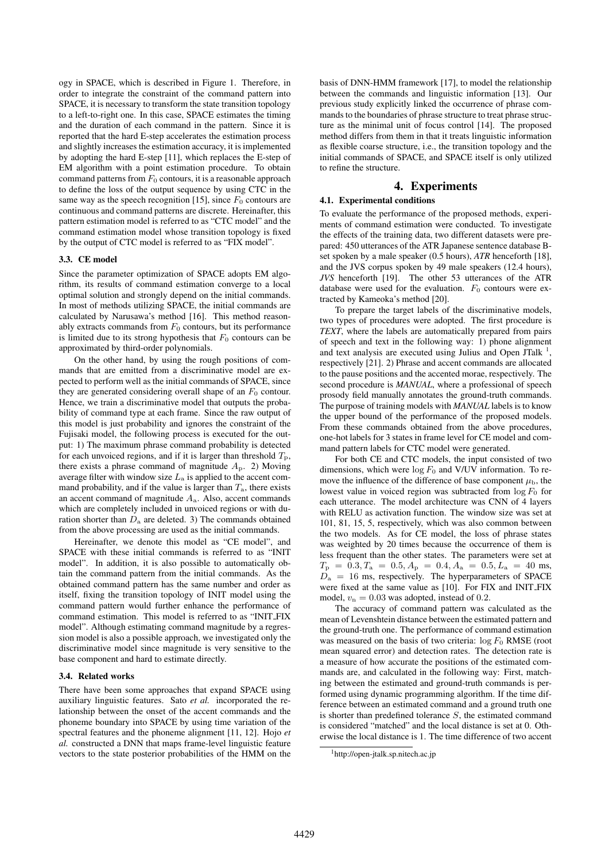ogy in SPACE, which is described in Figure 1. Therefore, in order to integrate the constraint of the command pattern into SPACE, it is necessary to transform the state transition topology to a left-to-right one. In this case, SPACE estimates the timing and the duration of each command in the pattern. Since it is reported that the hard E-step accelerates the estimation process and slightly increases the estimation accuracy, it is implemented by adopting the hard E-step [11], which replaces the E-step of EM algorithm with a point estimation procedure. To obtain command patterns from  $F_0$  contours, it is a reasonable approach to define the loss of the output sequence by using CTC in the same way as the speech recognition [15], since  $F_0$  contours are continuous and command patterns are discrete. Hereinafter, this pattern estimation model is referred to as "CTC model" and the command estimation model whose transition topology is fixed by the output of CTC model is referred to as "FIX model".

### 3.3. CE model

Since the parameter optimization of SPACE adopts EM algorithm, its results of command estimation converge to a local optimal solution and strongly depend on the initial commands. In most of methods utilizing SPACE, the initial commands are calculated by Narusawa's method [16]. This method reasonably extracts commands from  $F_0$  contours, but its performance is limited due to its strong hypothesis that  $F_0$  contours can be approximated by third-order polynomials.

On the other hand, by using the rough positions of commands that are emitted from a discriminative model are expected to perform well as the initial commands of SPACE, since they are generated considering overall shape of an  $F_0$  contour. Hence, we train a discriminative model that outputs the probability of command type at each frame. Since the raw output of this model is just probability and ignores the constraint of the Fujisaki model, the following process is executed for the output: 1) The maximum phrase command probability is detected for each unvoiced regions, and if it is larger than threshold  $T_p$ , there exists a phrase command of magnitude  $A<sub>p</sub>$ . 2) Moving average filter with window size  $L_a$  is applied to the accent command probability, and if the value is larger than  $T_a$ , there exists an accent command of magnitude  $A<sub>a</sub>$ . Also, accent commands which are completely included in unvoiced regions or with duration shorter than  $D_a$  are deleted. 3) The commands obtained from the above processing are used as the initial commands.

Hereinafter, we denote this model as "CE model", and SPACE with these initial commands is referred to as "INIT model". In addition, it is also possible to automatically obtain the command pattern from the initial commands. As the obtained command pattern has the same number and order as itself, fixing the transition topology of INIT model using the command pattern would further enhance the performance of command estimation. This model is referred to as "INIT FIX model". Although estimating command magnitude by a regression model is also a possible approach, we investigated only the discriminative model since magnitude is very sensitive to the base component and hard to estimate directly.

#### 3.4. Related works

There have been some approaches that expand SPACE using auxiliary linguistic features. Sato *et al.* incorporated the relationship between the onset of the accent commands and the phoneme boundary into SPACE by using time variation of the spectral features and the phoneme alignment [11, 12]. Hojo *et al.* constructed a DNN that maps frame-level linguistic feature vectors to the state posterior probabilities of the HMM on the

basis of DNN-HMM framework [17], to model the relationship between the commands and linguistic information [13]. Our previous study explicitly linked the occurrence of phrase commands to the boundaries of phrase structure to treat phrase structure as the minimal unit of focus control [14]. The proposed method differs from them in that it treats linguistic information as flexible coarse structure, i.e., the transition topology and the initial commands of SPACE, and SPACE itself is only utilized to refine the structure.

# 4. Experiments

#### 4.1. Experimental conditions

To evaluate the performance of the proposed methods, experiments of command estimation were conducted. To investigate the effects of the training data, two different datasets were prepared: 450 utterances of the ATR Japanese sentence database Bset spoken by a male speaker (0.5 hours), *ATR* henceforth [18], and the JVS corpus spoken by 49 male speakers (12.4 hours), *JVS* henceforth [19]. The other 53 utterances of the ATR database were used for the evaluation.  $F_0$  contours were extracted by Kameoka's method [20].

To prepare the target labels of the discriminative models, two types of procedures were adopted. The first procedure is *TEXT*, where the labels are automatically prepared from pairs of speech and text in the following way: 1) phone alignment and text analysis are executed using Julius and Open JTalk<sup>1</sup>, respectively [21]. 2) Phrase and accent commands are allocated to the pause positions and the accented morae, respectively. The second procedure is *MANUAL*, where a professional of speech prosody field manually annotates the ground-truth commands. The purpose of training models with *MANUAL* labels is to know the upper bound of the performance of the proposed models. From these commands obtained from the above procedures, one-hot labels for 3 states in frame level for CE model and command pattern labels for CTC model were generated.

For both CE and CTC models, the input consisted of two dimensions, which were  $\log F_0$  and V/UV information. To remove the influence of the difference of base component  $\mu_{\rm b}$ , the lowest value in voiced region was subtracted from  $\log F_0$  for each utterance. The model architecture was CNN of 4 layers with RELU as activation function. The window size was set at 101, 81, 15, 5, respectively, which was also common between the two models. As for CE model, the loss of phrase states was weighted by 20 times because the occurrence of them is less frequent than the other states. The parameters were set at  $T_{\rm p}$  = 0.3,  $T_{\rm a}$  = 0.5,  $A_{\rm p}$  = 0.4,  $A_{\rm a}$  = 0.5,  $L_{\rm a}$  = 40 ms,  $D_a = 16$  ms, respectively. The hyperparameters of SPACE were fixed at the same value as [10]. For FIX and INIT FIX model,  $v_n = 0.03$  was adopted, instead of 0.2.

The accuracy of command pattern was calculated as the mean of Levenshtein distance between the estimated pattern and the ground-truth one. The performance of command estimation was measured on the basis of two criteria:  $\log F_0$  RMSE (root mean squared error) and detection rates. The detection rate is a measure of how accurate the positions of the estimated commands are, and calculated in the following way: First, matching between the estimated and ground-truth commands is performed using dynamic programming algorithm. If the time difference between an estimated command and a ground truth one is shorter than predefined tolerance  $S$ , the estimated command is considered "matched" and the local distance is set at 0. Otherwise the local distance is 1. The time difference of two accent

<sup>1</sup>http://open-jtalk.sp.nitech.ac.jp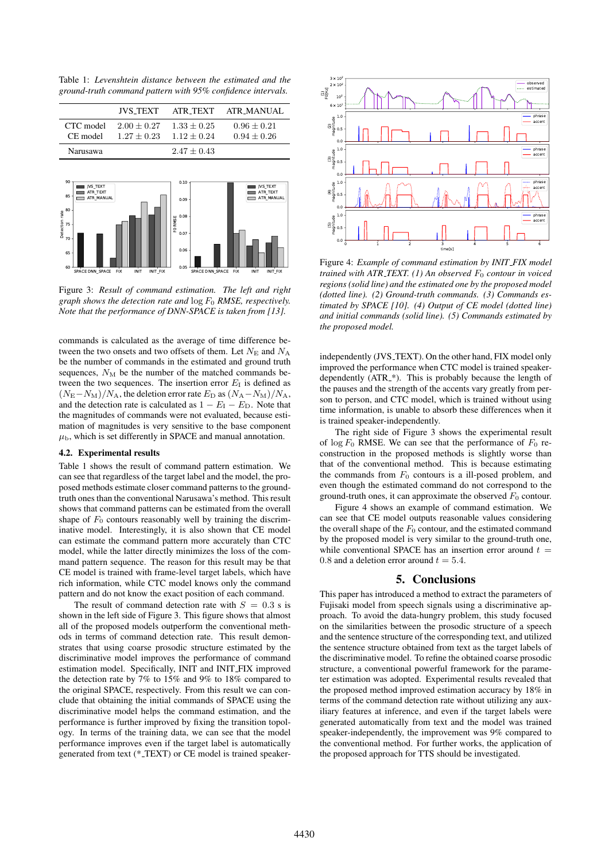Table 1: *Levenshtein distance between the estimated and the ground-truth command pattern with 95% confidence intervals.*



Figure 3: *Result of command estimation. The left and right graph shows the detection rate and* log F<sup>0</sup> *RMSE, respectively. Note that the performance of DNN-SPACE is taken from [13].*

commands is calculated as the average of time difference between the two onsets and two offsets of them. Let  $N_{\rm E}$  and  $N_{\rm A}$ be the number of commands in the estimated and ground truth sequences,  $N_M$  be the number of the matched commands between the two sequences. The insertion error  $E_I$  is defined as  $(N_{\rm E}-N_{\rm M})/N_{\rm A}$ , the deletion error rate  $E_{\rm D}$  as  $(N_{\rm A}-N_{\rm M})/N_{\rm A}$ , and the detection rate is calculated as  $1 - E_I - E_D$ . Note that the magnitudes of commands were not evaluated, because estimation of magnitudes is very sensitive to the base component  $\mu_{\rm b}$ , which is set differently in SPACE and manual annotation.

### 4.2. Experimental results

Table 1 shows the result of command pattern estimation. We can see that regardless of the target label and the model, the proposed methods estimate closer command patterns to the groundtruth ones than the conventional Narusawa's method. This result shows that command patterns can be estimated from the overall shape of  $F_0$  contours reasonably well by training the discriminative model. Interestingly, it is also shown that CE model can estimate the command pattern more accurately than CTC model, while the latter directly minimizes the loss of the command pattern sequence. The reason for this result may be that CE model is trained with frame-level target labels, which have rich information, while CTC model knows only the command pattern and do not know the exact position of each command.

The result of command detection rate with  $S = 0.3$  s is shown in the left side of Figure 3. This figure shows that almost all of the proposed models outperform the conventional methods in terms of command detection rate. This result demonstrates that using coarse prosodic structure estimated by the discriminative model improves the performance of command estimation model. Specifically, INIT and INIT FIX improved the detection rate by 7% to 15% and 9% to 18% compared to the original SPACE, respectively. From this result we can conclude that obtaining the initial commands of SPACE using the discriminative model helps the command estimation, and the performance is further improved by fixing the transition topology. In terms of the training data, we can see that the model performance improves even if the target label is automatically generated from text (\* TEXT) or CE model is trained speaker-



Figure 4: *Example of command estimation by INIT FIX model trained with ATR\_TEXT.* (1) An observed  $F_0$  contour in voiced *regions (solid line) and the estimated one by the proposed model (dotted line). (2) Ground-truth commands. (3) Commands estimated by SPACE [10]. (4) Output of CE model (dotted line) and initial commands (solid line). (5) Commands estimated by the proposed model.*

independently (JVS\_TEXT). On the other hand, FIX model only improved the performance when CTC model is trained speakerdependently (ATR<sub>-\*</sub>). This is probably because the length of the pauses and the strength of the accents vary greatly from person to person, and CTC model, which is trained without using time information, is unable to absorb these differences when it is trained speaker-independently.

The right side of Figure 3 shows the experimental result of  $\log F_0$  RMSE. We can see that the performance of  $F_0$  reconstruction in the proposed methods is slightly worse than that of the conventional method. This is because estimating the commands from  $F_0$  contours is a ill-posed problem, and even though the estimated command do not correspond to the ground-truth ones, it can approximate the observed  $F_0$  contour.

Figure 4 shows an example of command estimation. We can see that CE model outputs reasonable values considering the overall shape of the  $F_0$  contour, and the estimated command by the proposed model is very similar to the ground-truth one, while conventional SPACE has an insertion error around  $t =$ 0.8 and a deletion error around  $t = 5.4$ .

# 5. Conclusions

This paper has introduced a method to extract the parameters of Fujisaki model from speech signals using a discriminative approach. To avoid the data-hungry problem, this study focused on the similarities between the prosodic structure of a speech and the sentence structure of the corresponding text, and utilized the sentence structure obtained from text as the target labels of the discriminative model. To refine the obtained coarse prosodic structure, a conventional powerful framework for the parameter estimation was adopted. Experimental results revealed that the proposed method improved estimation accuracy by 18% in terms of the command detection rate without utilizing any auxiliary features at inference, and even if the target labels were generated automatically from text and the model was trained speaker-independently, the improvement was 9% compared to the conventional method. For further works, the application of the proposed approach for TTS should be investigated.